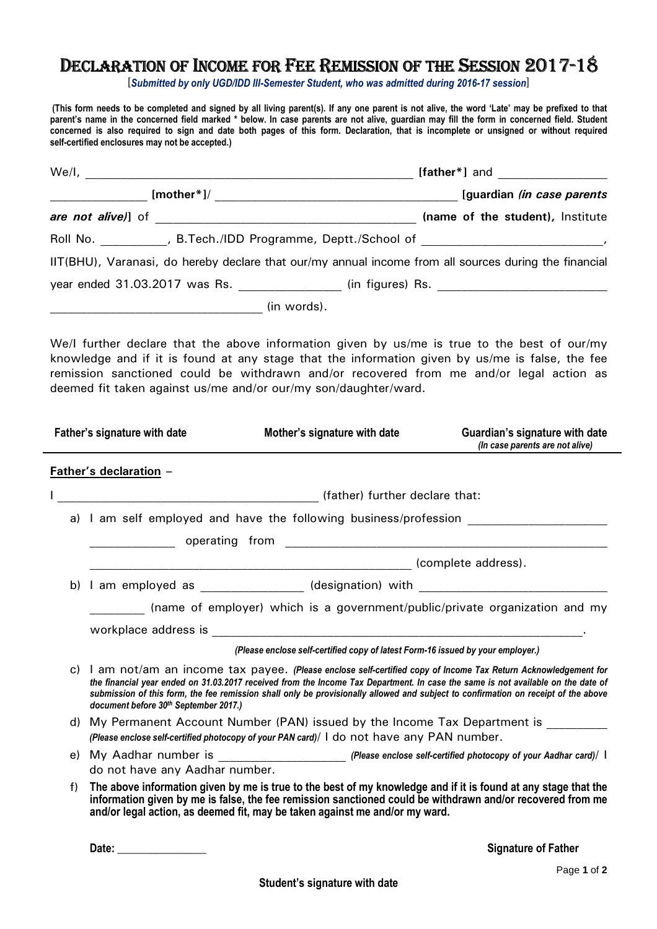## DECLARATION OF INCOME FOR FEE REMISSION OF THE SESSION 2017-18

[*Submitted by only UGD/IDD III-Semester Student, who was admitted during 2016-17 session*]

 **(This form needs to be completed and signed by all living parent(s). If any one parent is not alive, the word 'Late' may be prefixed to that parent's name in the concerned field marked \* below. In case parents are not alive, guardian may fill the form in concerned field. Student concerned is also required to sign and date both pages of this form. Declaration, that is incomplete or unsigned or without required self-certified enclosures may not be accepted.)** 

| We/l,                                                                                                 |               | $[father^*]$ and $\qquad \qquad \qquad$ |  |  |                                   |  |
|-------------------------------------------------------------------------------------------------------|---------------|-----------------------------------------|--|--|-----------------------------------|--|
|                                                                                                       | $[mother*] /$ |                                         |  |  | [guardian <i>(in case parents</i> |  |
| are not alive)] of                                                                                    |               |                                         |  |  | (name of the student), Institute  |  |
|                                                                                                       |               |                                         |  |  |                                   |  |
| IIT(BHU), Varanasi, do hereby declare that our/my annual income from all sources during the financial |               |                                         |  |  |                                   |  |
| year ended 31.03.2017 was Rs. (in figures) Rs.                                                        |               |                                         |  |  |                                   |  |
|                                                                                                       |               | (in words).                             |  |  |                                   |  |

We/I further declare that the above information given by us/me is true to the best of our/my knowledge and if it is found at any stage that the information given by us/me is false, the fee remission sanctioned could be withdrawn and/or recovered from me and/or legal action as deemed fit taken against us/me and/or our/my son/daughter/ward.

|    | Father's signature with date          | Mother's signature with date                                                                                                                                                                                                                                                                                                                                                               | Guardian's signature with date<br>(In case parents are not alive) |
|----|---------------------------------------|--------------------------------------------------------------------------------------------------------------------------------------------------------------------------------------------------------------------------------------------------------------------------------------------------------------------------------------------------------------------------------------------|-------------------------------------------------------------------|
|    | <b>Father's declaration -</b>         |                                                                                                                                                                                                                                                                                                                                                                                            |                                                                   |
|    |                                       | (father) further declare that:                                                                                                                                                                                                                                                                                                                                                             |                                                                   |
|    |                                       | a) I am self employed and have the following business/profession                                                                                                                                                                                                                                                                                                                           |                                                                   |
|    |                                       |                                                                                                                                                                                                                                                                                                                                                                                            |                                                                   |
|    |                                       |                                                                                                                                                                                                                                                                                                                                                                                            |                                                                   |
|    |                                       | b) I am employed as _______________ (designation) with __________________________                                                                                                                                                                                                                                                                                                          |                                                                   |
|    |                                       | (name of employer) which is a government/public/private organization and my                                                                                                                                                                                                                                                                                                                |                                                                   |
|    |                                       |                                                                                                                                                                                                                                                                                                                                                                                            |                                                                   |
|    |                                       | (Please enclose self-certified copy of latest Form-16 issued by your employer.)                                                                                                                                                                                                                                                                                                            |                                                                   |
|    | document before 30th September 2017.) | c) I am not/am an income tax payee. (Please enclose self-certified copy of Income Tax Return Acknowledgement for<br>the financial year ended on 31.03.2017 received from the Income Tax Department. In case the same is not available on the date of<br>submission of this form, the fee remission shall only be provisionally allowed and subject to confirmation on receipt of the above |                                                                   |
|    |                                       | d) My Permanent Account Number (PAN) issued by the Income Tax Department is                                                                                                                                                                                                                                                                                                                |                                                                   |
|    |                                       | (Please enclose self-certified photocopy of your PAN card)/ I do not have any PAN number.                                                                                                                                                                                                                                                                                                  |                                                                   |
|    |                                       |                                                                                                                                                                                                                                                                                                                                                                                            |                                                                   |
|    | do not have any Aadhar number.        |                                                                                                                                                                                                                                                                                                                                                                                            |                                                                   |
| f) |                                       | The above information given by me is true to the best of my knowledge and if it is found at any stage that the<br>information given by me is false, the fee remission sanctioned could be withdrawn and/or recovered from me<br>and/or legal action, as deemed fit, may be taken against me and/or my ward.                                                                                |                                                                   |
|    |                                       |                                                                                                                                                                                                                                                                                                                                                                                            |                                                                   |

 **Date: \_\_\_\_\_\_\_\_\_\_\_\_\_\_\_\_ Signature of Father**